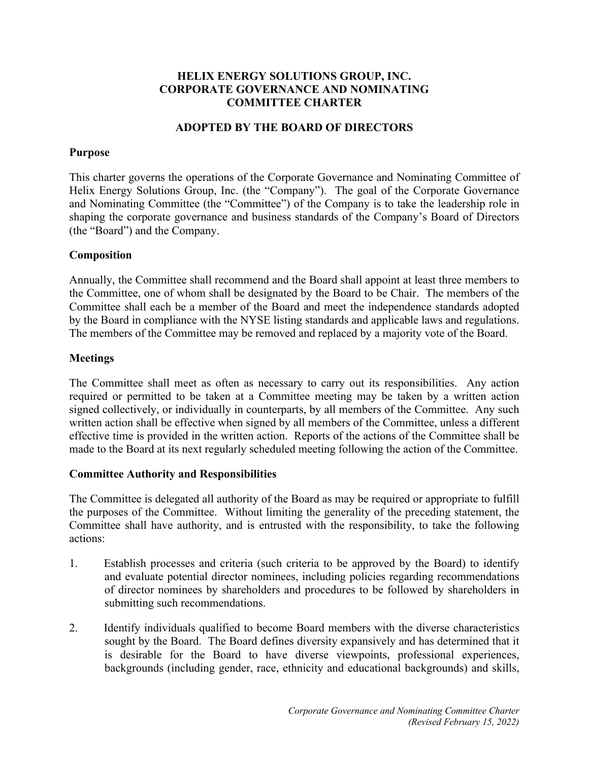# **HELIX ENERGY SOLUTIONS GROUP, INC. CORPORATE GOVERNANCE AND NOMINATING COMMITTEE CHARTER**

## **ADOPTED BY THE BOARD OF DIRECTORS**

#### **Purpose**

This charter governs the operations of the Corporate Governance and Nominating Committee of Helix Energy Solutions Group, Inc. (the "Company"). The goal of the Corporate Governance and Nominating Committee (the "Committee") of the Company is to take the leadership role in shaping the corporate governance and business standards of the Company's Board of Directors (the "Board") and the Company.

## **Composition**

Annually, the Committee shall recommend and the Board shall appoint at least three members to the Committee, one of whom shall be designated by the Board to be Chair. The members of the Committee shall each be a member of the Board and meet the independence standards adopted by the Board in compliance with the NYSE listing standards and applicable laws and regulations. The members of the Committee may be removed and replaced by a majority vote of the Board.

## **Meetings**

The Committee shall meet as often as necessary to carry out its responsibilities. Any action required or permitted to be taken at a Committee meeting may be taken by a written action signed collectively, or individually in counterparts, by all members of the Committee. Any such written action shall be effective when signed by all members of the Committee, unless a different effective time is provided in the written action. Reports of the actions of the Committee shall be made to the Board at its next regularly scheduled meeting following the action of the Committee.

#### **Committee Authority and Responsibilities**

The Committee is delegated all authority of the Board as may be required or appropriate to fulfill the purposes of the Committee. Without limiting the generality of the preceding statement, the Committee shall have authority, and is entrusted with the responsibility, to take the following actions:

- 1. Establish processes and criteria (such criteria to be approved by the Board) to identify and evaluate potential director nominees, including policies regarding recommendations of director nominees by shareholders and procedures to be followed by shareholders in submitting such recommendations.
- 2. Identify individuals qualified to become Board members with the diverse characteristics sought by the Board. The Board defines diversity expansively and has determined that it is desirable for the Board to have diverse viewpoints, professional experiences, backgrounds (including gender, race, ethnicity and educational backgrounds) and skills,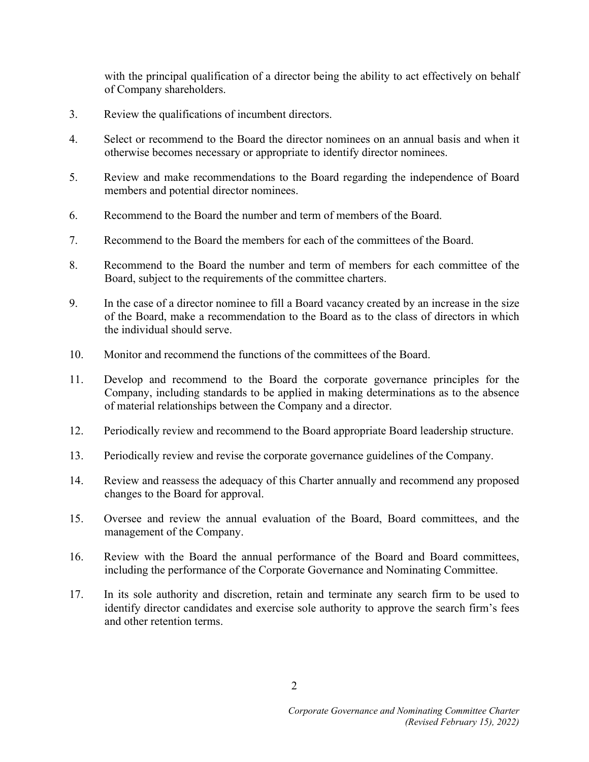with the principal qualification of a director being the ability to act effectively on behalf of Company shareholders.

- 3. Review the qualifications of incumbent directors.
- 4. Select or recommend to the Board the director nominees on an annual basis and when it otherwise becomes necessary or appropriate to identify director nominees.
- 5. Review and make recommendations to the Board regarding the independence of Board members and potential director nominees.
- 6. Recommend to the Board the number and term of members of the Board.
- 7. Recommend to the Board the members for each of the committees of the Board.
- 8. Recommend to the Board the number and term of members for each committee of the Board, subject to the requirements of the committee charters.
- 9. In the case of a director nominee to fill a Board vacancy created by an increase in the size of the Board, make a recommendation to the Board as to the class of directors in which the individual should serve.
- 10. Monitor and recommend the functions of the committees of the Board.
- 11. Develop and recommend to the Board the corporate governance principles for the Company, including standards to be applied in making determinations as to the absence of material relationships between the Company and a director.
- 12. Periodically review and recommend to the Board appropriate Board leadership structure.
- 13. Periodically review and revise the corporate governance guidelines of the Company.
- 14. Review and reassess the adequacy of this Charter annually and recommend any proposed changes to the Board for approval.
- 15. Oversee and review the annual evaluation of the Board, Board committees, and the management of the Company.
- 16. Review with the Board the annual performance of the Board and Board committees, including the performance of the Corporate Governance and Nominating Committee.
- 17. In its sole authority and discretion, retain and terminate any search firm to be used to identify director candidates and exercise sole authority to approve the search firm's fees and other retention terms.